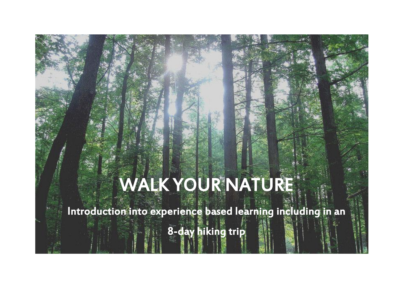## WALK YOUR NATURE

J

**Contractor** 

Introduction into experience based learning including in an

8-day hiking trip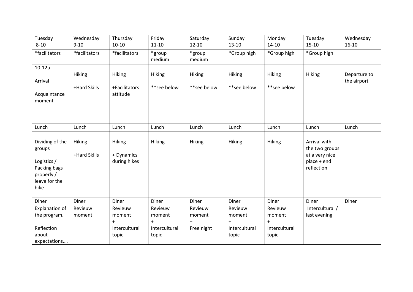| Tuesday<br>$8 - 10$                                                                             | Wednesday<br>$9 - 10$  | Thursday<br>$10 - 10$                       | Friday<br>$11 - 10$      | Saturday<br>$12 - 10$        | Sunday<br>$13 - 10$          | Monday<br>$14 - 10$          | Tuesday<br>$15 - 10$                                                          | Wednesday<br>$16-10$        |
|-------------------------------------------------------------------------------------------------|------------------------|---------------------------------------------|--------------------------|------------------------------|------------------------------|------------------------------|-------------------------------------------------------------------------------|-----------------------------|
| *facilitators                                                                                   | *facilitators          | *facilitators                               | *group<br>medium         | *group<br>medium             | *Group high                  | *Group high                  | *Group high                                                                   |                             |
| $10-12u$<br>Arrival<br>Acquaintance<br>moment                                                   | Hiking<br>+Hard Skills | <b>Hiking</b><br>+Facilitators<br>attitude  | Hiking<br>**see below    | <b>Hiking</b><br>**see below | <b>Hiking</b><br>**see below | <b>Hiking</b><br>**see below | <b>Hiking</b>                                                                 | Departure to<br>the airport |
| Lunch                                                                                           | Lunch                  | Lunch                                       | Lunch                    | Lunch                        | Lunch                        | Lunch                        | Lunch                                                                         | Lunch                       |
| Dividing of the<br>groups<br>Logistics /<br>Packing bags<br>properly /<br>leave for the<br>hike | Hiking<br>+Hard Skills | <b>Hiking</b><br>+ Dynamics<br>during hikes | Hiking                   | Hiking                       | Hiking                       | <b>Hiking</b>                | Arrival with<br>the two groups<br>at a very nice<br>place + end<br>reflection |                             |
| Diner                                                                                           | Diner                  | Diner                                       | Diner                    | Diner                        | Diner                        | Diner                        | Diner                                                                         | Diner                       |
| Explanation of<br>the program.                                                                  | Revieuw<br>moment      | Revieuw<br>moment<br>$+$                    | Revieuw<br>moment<br>$+$ | Revieuw<br>moment<br>$+$     | Revieuw<br>moment<br>$+$     | Revieuw<br>moment<br>$+$     | Intercultural /<br>last evening                                               |                             |
| Reflection<br>about<br>expectations,                                                            |                        | Intercultural<br>topic                      | Intercultural<br>topic   | Free night                   | Intercultural<br>topic       | Intercultural<br>topic       |                                                                               |                             |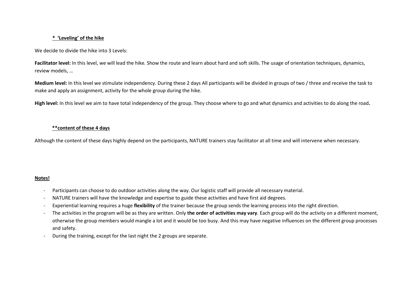## **\* 'Leveling' of the hike**

We decide to divide the hike into 3 Levels:

Facilitator level: In this level, we will lead the hike. Show the route and learn about hard and soft skills. The usage of orientation techniques, dynamics, review models, …

**Medium level:** In this level we stimulate independency. During these 2 days All participants will be divided in groups of two / three and receive the task to make and apply an assignment, activity for the whole group during the hike.

**High level:** In this level we aim to have total independency of the group. They choose where to go and what dynamics and activities to do along the road**.** 

## **\*\*content of these 4 days**

Although the content of these days highly depend on the participants, NATURE trainers stay facilitator at all time and will intervene when necessary.

## **Notes!**

- Participants can choose to do outdoor activities along the way. Our logistic staff will provide all necessary material.
- NATURE trainers will have the knowledge and expertise to guide these activities and have first aid degrees.
- Experiential learning requires a huge **flexibility** of the trainer because the group sends the learning process into the right direction.
- The activities in the program will be as they are written. Only **the order of activities may vary**. Each group will do the activity on a different moment, otherwise the group members would mangle a lot and it would be too busy. And this may have negative influences on the different group processes and safety.
- During the training, except for the last night the 2 groups are separate.